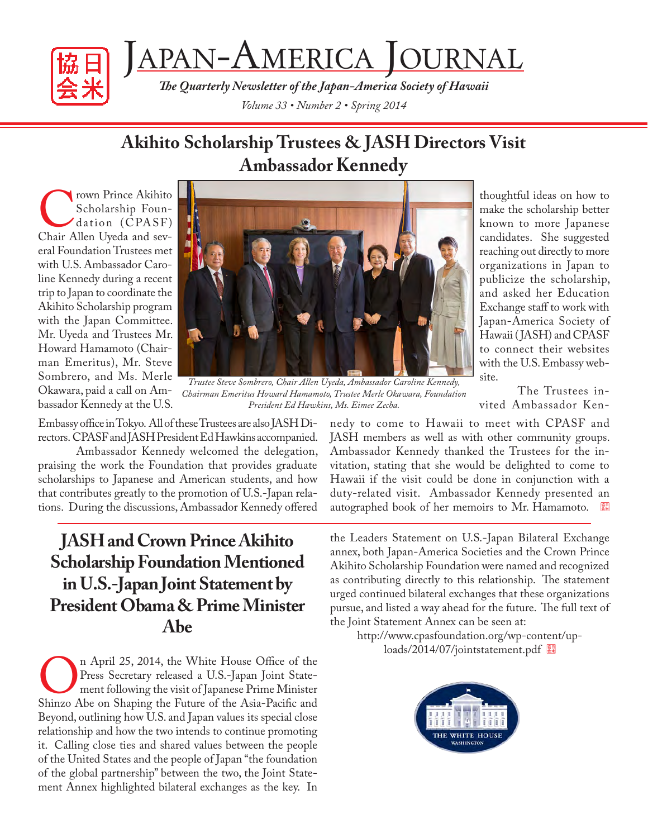



*The Quarterly Newsletter of the Japan-America Society of Hawaii Volume 33 • Number 2 • Spring 2014*

### **Akihito Scholarship Trustees & JASH Directors Visit Ambassador Kennedy**

Trown Prince Akihito<br>
Scholarship Foun-<br>
dation (CPASF)<br>
Chair Allen Uyeda and sev-Scholarship Foundation (CPASF) eral Foundation Trustees met with U.S. Ambassador Caroline Kennedy during a recent trip to Japan to coordinate the Akihito Scholarship program with the Japan Committee. Mr. Uyeda and Trustees Mr. Howard Hamamoto (Chairman Emeritus), Mr. Steve Sombrero, and Ms. Merle Okawara, paid a call on Ambassador Kennedy at the U.S.



*Trustee Steve Sombrero, Chair Allen Uyeda, Ambassador Caroline Kennedy, Chairman Emeritus Howard Hamamoto, Trustee Merle Okawara, Foundation President Ed Hawkins, Ms. Eimee Zecha.*

Embassy office in Tokyo. All of these Trustees are also JASH Directors. CPASF and JASH President Ed Hawkins accompanied.

Ambassador Kennedy welcomed the delegation, praising the work the Foundation that provides graduate scholarships to Japanese and American students, and how that contributes greatly to the promotion of U.S.-Japan relations. During the discussions, Ambassador Kennedy offered

### **JASH and Crown Prince Akihito Scholarship Foundation Mentioned in U.S.-Japan Joint Statement by President Obama & Prime Minister Abe**

On April 25, 2014, the White House Office of the Press Secretary released a U.S.-Japan Joint Statement following the visit of Japanese Prime Minister Shinzo Abe on Shaping the Future of the Asia-Pacific and Press Secretary released a U.S.-Japan Joint Statement following the visit of Japanese Prime Minister Beyond, outlining how U.S. and Japan values its special close relationship and how the two intends to continue promoting it. Calling close ties and shared values between the people of the United States and the people of Japan "the foundation of the global partnership" between the two, the Joint Statement Annex highlighted bilateral exchanges as the key. In

thoughtful ideas on how to make the scholarship better known to more Japanese candidates. She suggested reaching out directly to more organizations in Japan to publicize the scholarship, and asked her Education Exchange staff to work with Japan-America Society of Hawaii (JASH) and CPASF to connect their websites with the U.S. Embassy website.

The Trustees invited Ambassador Ken-

nedy to come to Hawaii to meet with CPASF and JASH members as well as with other community groups. Ambassador Kennedy thanked the Trustees for the invitation, stating that she would be delighted to come to Hawaii if the visit could be done in conjunction with a duty-related visit. Ambassador Kennedy presented an autographed book of her memoirs to Mr. Hamamoto.

the Leaders Statement on U.S.-Japan Bilateral Exchange annex, both Japan-America Societies and the Crown Prince Akihito Scholarship Foundation were named and recognized as contributing directly to this relationship. The statement urged continued bilateral exchanges that these organizations pursue, and listed a way ahead for the future. The full text of the Joint Statement Annex can be seen at:

http://www.cpasfoundation.org/wp-content/uploads/2014/07/jointstatement.pdf

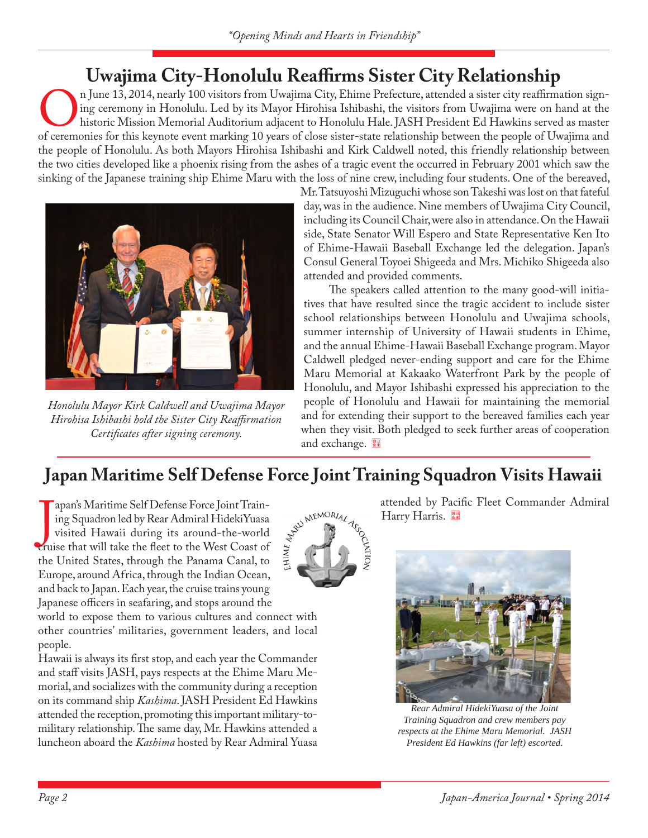# **Uwajima City-Honolulu Reaffirms Sister City Relationship**<br>n June 13, 2014, nearly 100 visitors from Uwajima City, Ehime Prefecture, attended a sister city reaffirmation sign-

n June 13, 2014, nearly 100 visitors from Uwajima City, Ehime Prefecture, attended a sister city reaffirmation signing ceremony in Honolulu. Led by its Mayor Hirohisa Ishibashi, the visitors from Uwajima were on hand at th ing ceremony in Honolulu. Led by its Mayor Hirohisa Ishibashi, the visitors from Uwajima were on hand at the historic Mission Memorial Auditorium adjacent to Honolulu Hale. JASH President Ed Hawkins served as master the people of Honolulu. As both Mayors Hirohisa Ishibashi and Kirk Caldwell noted, this friendly relationship between the two cities developed like a phoenix rising from the ashes of a tragic event the occurred in February 2001 which saw the sinking of the Japanese training ship Ehime Maru with the loss of nine crew, including four students. One of the bereaved,



*Honolulu Mayor Kirk Caldwell and Uwajima Mayor Hirohisa Ishibashi hold the Sister City Reaffirmation Certificates after signing ceremony.*

Mr. Tatsuyoshi Mizuguchi whose son Takeshi was lost on that fateful day, was in the audience. Nine members of Uwajima City Council, including its Council Chair, were also in attendance. On the Hawaii side, State Senator Will Espero and State Representative Ken Ito of Ehime-Hawaii Baseball Exchange led the delegation. Japan's Consul General Toyoei Shigeeda and Mrs. Michiko Shigeeda also attended and provided comments.

The speakers called attention to the many good-will initiatives that have resulted since the tragic accident to include sister school relationships between Honolulu and Uwajima schools, summer internship of University of Hawaii students in Ehime, and the annual Ehime-Hawaii Baseball Exchange program. Mayor Caldwell pledged never-ending support and care for the Ehime Maru Memorial at Kakaako Waterfront Park by the people of Honolulu, and Mayor Ishibashi expressed his appreciation to the people of Honolulu and Hawaii for maintaining the memorial and for extending their support to the bereaved families each year when they visit. Both pledged to seek further areas of cooperation and exchange.

Cantion

**Japan Maritime Self Defense Force Joint Training Squadron Visits Hawaii**<br>
I apan's Maritime Self Defense Force Joint Train-<br>
ing Squadron led by Rear Admiral HidekiYuasa<br>
visited Hawaii during its around-the-world<br>
ruise apans Maritime Sen Detense 1 ofce joint Train<br>ing Squadron led by Rear Admiral HidekiYuasa<br>visited Hawaii during its around-the-world<br>truise that will take the fleet to the West Coast of apan's Maritime Self Defense Force Joint Training Squadron led by Rear Admiral HidekiYuasa visited Hawaii during its around-the-world the United States, through the Panama Canal, to Europe, around Africa, through the Indian Ocean, and back to Japan. Each year, the cruise trains young Japanese officers in seafaring, and stops around the

world to expose them to various cultures and connect with other countries' militaries, government leaders, and local people.

Hawaii is always its first stop, and each year the Commander and staff visits JASH, pays respects at the Ehime Maru Memorial, and socializes with the community during a reception on its command ship *Kashima*. JASH President Ed Hawkins attended the reception, promoting this important military-tomilitary relationship. The same day, Mr. Hawkins attended a luncheon aboard the *Kashima* hosted by Rear Admiral Yuasa

attended by Pacific Fleet Commander Admiral Harry Harris.



*Rear Admiral HidekiYuasa of the Joint Training Squadron and crew members pay respects at the Ehime Maru Memorial. JASH President Ed Hawkins (far left) escorted.*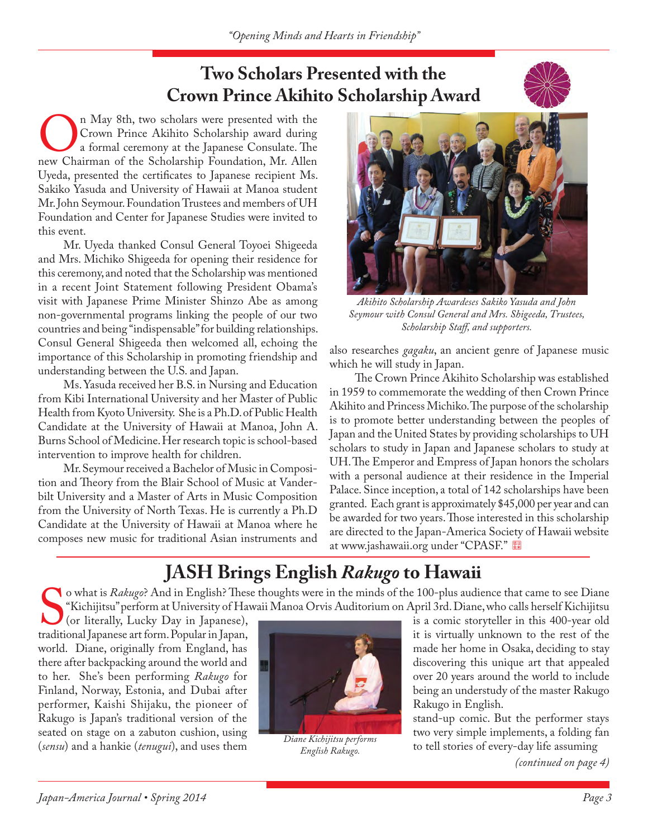### **Two Scholars Presented with the Crown Prince Akihito Scholarship Award**



On May 8th, two scholars were presented with the Crown Prince Akihito Scholarship award during a formal ceremony at the Japanese Consulate. The new Chairman of the Scholarship Foundation, Mr. Allen Crown Prince Akihito Scholarship award during a formal ceremony at the Japanese Consulate. The Uyeda, presented the certificates to Japanese recipient Ms. Sakiko Yasuda and University of Hawaii at Manoa student Mr. John Seymour. Foundation Trustees and members of UH Foundation and Center for Japanese Studies were invited to this event.

Mr. Uyeda thanked Consul General Toyoei Shigeeda and Mrs. Michiko Shigeeda for opening their residence for this ceremony, and noted that the Scholarship was mentioned in a recent Joint Statement following President Obama's visit with Japanese Prime Minister Shinzo Abe as among non-governmental programs linking the people of our two countries and being "indispensable" for building relationships. Consul General Shigeeda then welcomed all, echoing the importance of this Scholarship in promoting friendship and understanding between the U.S. and Japan.

Ms. Yasuda received her B.S. in Nursing and Education from Kibi International University and her Master of Public Health from Kyoto University. She is a Ph.D. of Public Health Candidate at the University of Hawaii at Manoa, John A. Burns School of Medicine. Her research topic is school-based intervention to improve health for children.

Mr. Seymour received a Bachelor of Music in Composition and Theory from the Blair School of Music at Vanderbilt University and a Master of Arts in Music Composition from the University of North Texas. He is currently a Ph.D Candidate at the University of Hawaii at Manoa where he composes new music for traditional Asian instruments and



*Akihito Scholarship Awardeses Sakiko Yasuda and John Seymour with Consul General and Mrs. Shigeeda, Trustees, Scholarship Staff, and supporters.*

also researches *gagaku*, an ancient genre of Japanese music which he will study in Japan.

The Crown Prince Akihito Scholarship was established in 1959 to commemorate the wedding of then Crown Prince Akihito and Princess Michiko. The purpose of the scholarship is to promote better understanding between the peoples of Japan and the United States by providing scholarships to UH scholars to study in Japan and Japanese scholars to study at UH. The Emperor and Empress of Japan honors the scholars with a personal audience at their residence in the Imperial Palace. Since inception, a total of 142 scholarships have been granted. Each grant is approximately \$45,000 per year and can be awarded for two years. Those interested in this scholarship are directed to the Japan-America Society of Hawaii website at www.jashawaii.org under "CPASF."

## **JASH Brings English** *Rakugo* **to Hawaii**

Straditional Straditional Japanese art form. Popular in Japan, it is virtually unknown to the rest of the traditional Japanese art form. Popular in Japan, o what is *Rakugo*? And in English? These thoughts were in the minds of the 100-plus audience that came to see Diane "Kichijitsu" perform at University of Hawaii Manoa Orvis Auditorium on April 3rd. Diane, who calls herself Kichijitsu

(or literally, Lucky Day in Japanese), is a comic storyteller in this 400-year old it is virtually unknown to the rest of the world. Diane, originally from England, has made her home in Osaka, deciding to stay there after backpacking around the world and there after backpacking around the world and discovering this unique art that appealed<br>to her. She's been performing Rakugo for to her. She's been performing *Rakugo* for Finland, Norway, Estonia, and Dubai after being an understudy of the master Rakugo performer, Kaishi Shijaku, the pioneer of Rakugo in English. performer, Kaishi Shijaku, the pioneer of Rakugo in English.<br>Rakugo is Japan's traditional version of the Rakugo in English. Rakugo is Japan's traditional version of the stand-up comic. But the performer stays seated on stage on a zabuton cushion, using the stand-up comic. But the performer stays two very simple implements, a folding fan seated on stage on a zabuton cushion, using <br>(sensu) and a hankie (tenugui), and uses them <br>Faglish Rabuse to tell stories of every-day life assuming (*sensu*) and a hankie (*tenugui*), and uses them



*Diane Kichijitsu performs English Rakugo.*

*(continued on page 4)*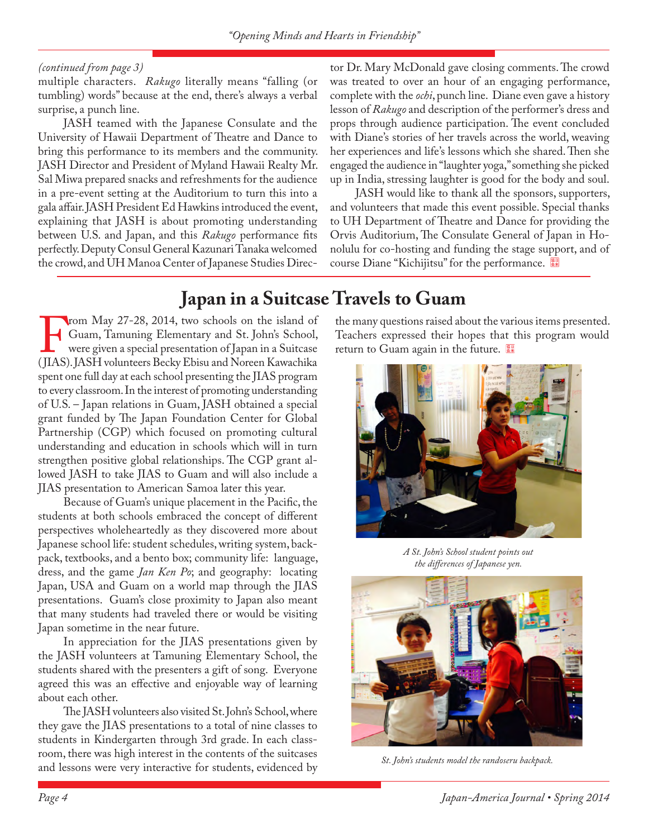#### *(continued from page 3)*

multiple characters. *Rakugo* literally means "falling (or tumbling) words" because at the end, there's always a verbal surprise, a punch line.

JASH teamed with the Japanese Consulate and the University of Hawaii Department of Theatre and Dance to bring this performance to its members and the community. JASH Director and President of Myland Hawaii Realty Mr. Sal Miwa prepared snacks and refreshments for the audience in a pre-event setting at the Auditorium to turn this into a gala affair. JASH President Ed Hawkins introduced the event, explaining that JASH is about promoting understanding between U.S. and Japan, and this *Rakugo* performance fits perfectly. Deputy Consul General Kazunari Tanaka welcomed the crowd, and UH Manoa Center of Japanese Studies Director Dr. Mary McDonald gave closing comments. The crowd was treated to over an hour of an engaging performance, complete with the *ochi*, punch line. Diane even gave a history lesson of *Rakugo* and description of the performer's dress and props through audience participation. The event concluded with Diane's stories of her travels across the world, weaving her experiences and life's lessons which she shared. Then she engaged the audience in "laughter yoga," something she picked up in India, stressing laughter is good for the body and soul.

JASH would like to thank all the sponsors, supporters, and volunteers that made this event possible. Special thanks to UH Department of Theatre and Dance for providing the Orvis Auditorium, The Consulate General of Japan in Honolulu for co-hosting and funding the stage support, and of course Diane "Kichijitsu" for the performance.

### **Japan in a Suitcase Travels to Guam**

From May 27-28, 2014, two schools on the island of<br>Guam, Tamuning Elementary and St. John's School,<br>were given a special presentation of Japan in a Suitcase<br>(JIAS). JASH volunteers Becky Ebisu and Noreen Kawachika Guam, Tamuning Elementary and St. John's School, were given a special presentation of Japan in a Suitcase (JIAS). JASH volunteers Becky Ebisu and Noreen Kawachika spent one full day at each school presenting the JIAS program to every classroom. In the interest of promoting understanding of U.S. – Japan relations in Guam, JASH obtained a special grant funded by The Japan Foundation Center for Global Partnership (CGP) which focused on promoting cultural understanding and education in schools which will in turn strengthen positive global relationships. The CGP grant allowed JASH to take JIAS to Guam and will also include a JIAS presentation to American Samoa later this year.

Because of Guam's unique placement in the Pacific, the students at both schools embraced the concept of different perspectives wholeheartedly as they discovered more about Japanese school life: student schedules, writing system, backpack, textbooks, and a bento box; community life: language, dress, and the game *Jan Ken Po*; and geography: locating Japan, USA and Guam on a world map through the JIAS presentations. Guam's close proximity to Japan also meant that many students had traveled there or would be visiting Japan sometime in the near future.

In appreciation for the JIAS presentations given by the JASH volunteers at Tamuning Elementary School, the students shared with the presenters a gift of song. Everyone agreed this was an effective and enjoyable way of learning about each other.

The JASH volunteers also visited St. John's School, where they gave the JIAS presentations to a total of nine classes to students in Kindergarten through 3rd grade. In each classroom, there was high interest in the contents of the suitcases and lessons were very interactive for students, evidenced by *St. John's students model the randoseru backpack*.

the many questions raised about the various items presented. Teachers expressed their hopes that this program would return to Guam again in the future.



*A St. John's School student points out the differences of Japanese yen.*

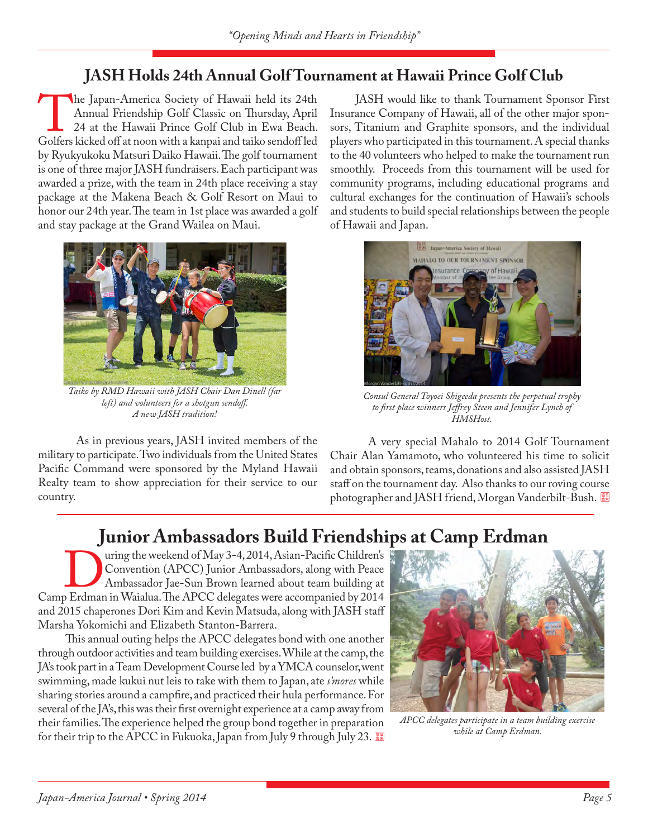### **JASH Holds 24th Annual Golf Tournament at Hawaii Prince Golf Club**

The Japan-America Society of Hawaii held its 24th<br>Annual Friendship Golf Classic on Thursday, April<br>24 at the Hawaii Prince Golf Club in Ewa Beach.<br>Golfers kicked off at noon with a kanpai and taiko sendoff led Annual Friendship Golf Classic on Thursday, April 24 at the Hawaii Prince Golf Club in Ewa Beach. Golfers kicked off at noon with a kanpai and taiko sendoff led by Ryukyukoku Matsuri Daiko Hawaii. The golf tournament is one of three major JASH fundraisers. Each participant was awarded a prize, with the team in 24th place receiving a stay package at the Makena Beach & Golf Resort on Maui to honor our 24th year. The team in 1st place was awarded a golf and stay package at the Grand Wailea on Maui.



*Taiko by RMD Hawaii with JASH Chair Dan Dinell (far left) and volunteers for a shotgun sendoff. A new JASH tradition!*

As in previous years, JASH invited members of the military to participate. Two individuals from the United States Pacific Command were sponsored by the Myland Hawaii Realty team to show appreciation for their service to our country.

JASH would like to thank Tournament Sponsor First Insurance Company of Hawaii, all of the other major sponsors, Titanium and Graphite sponsors, and the individual players who participated in this tournament. A special thanks to the 40 volunteers who helped to make the tournament run smoothly. Proceeds from this tournament will be used for community programs, including educational programs and cultural exchanges for the continuation of Hawaii's schools and students to build special relationships between the people of Hawaii and Japan.



*Consul General Toyoei Shigeeda presents the perpetual trophy to first place winners Jeffrey Steen and Jennifer Lynch of HMSHost.*

A very special Mahalo to 2014 Golf Tournament Chair Alan Yamamoto, who volunteered his time to solicit and obtain sponsors, teams, donations and also assisted JASH staff on the tournament day. Also thanks to our roving course photographer and JASH friend, Morgan Vanderbilt-Bush.

# **Junior Ambassadors Build Friendships at Camp Erdman**

Unring the weekend of May 3-4, 2014, Asian-Pacific Children's<br>
Convention (APCC) Junior Ambassadors, along with Peace<br>
Ambassador Jae-Sun Brown learned about team building at<br>
Camp Erdman in Waialua. The APCC delegates wer Convention (APCC) Junior Ambassadors, along with Peace Ambassador Jae-Sun Brown learned about team building at and 2015 chaperones Dori Kim and Kevin Matsuda, along with JASH staff Marsha Yokomichi and Elizabeth Stanton-Barrera.

 This annual outing helps the APCC delegates bond with one another through outdoor activities and team building exercises. While at the camp, the JA's took part in a Team Development Course led by a YMCA counselor, went swimming, made kukui nut leis to take with them to Japan, ate *s'mores* while sharing stories around a campfire, and practiced their hula performance. For several of the JA's, this was their first overnight experience at a camp away from their families. The experience helped the group bond together in preparation for their trip to the APCC in Fukuoka, Japan from July 9 through July 23.



*APCC delegates participate in a team building exercise while at Camp Erdman.*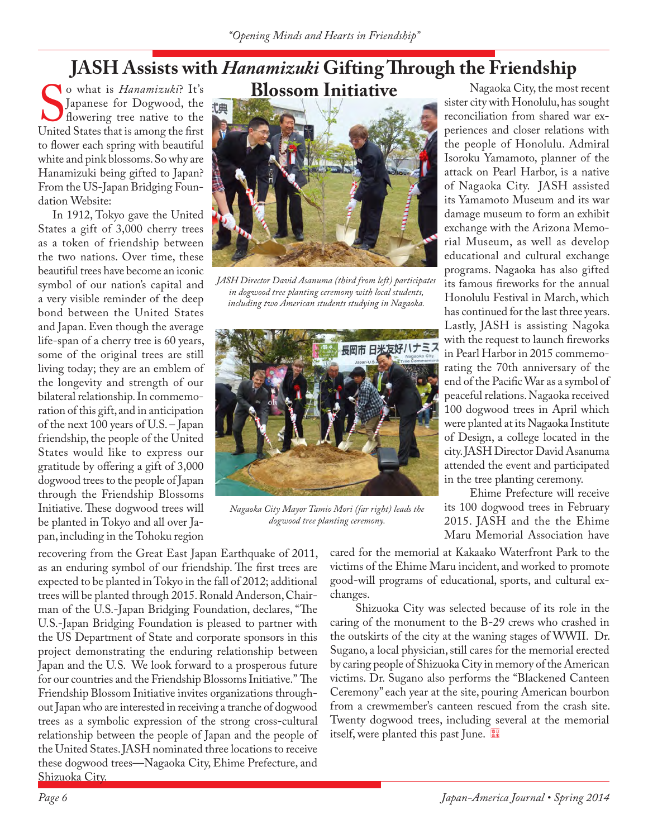# **JASH Assists with** *Hanamizuki* **Gifting Through the Friendship**

Solom Luitative<br>
Sapanese for Dogwood, the the discussion of the Sapanese for Dogwood, the the discussion of the discussion of the United States that is among the first o what is *Hanamizuki*? It's Japanese for Dogwood, the flowering tree native to the United States that is among the first to flower each spring with beautiful white and pink blossoms. So why are Hanamizuki being gifted to Japan? From the US-Japan Bridging Foundation Website:

 In 1912, Tokyo gave the United States a gift of 3,000 cherry trees as a token of friendship between the two nations. Over time, these beautiful trees have become an iconic symbol of our nation's capital and a very visible reminder of the deep bond between the United States and Japan. Even though the average life-span of a cherry tree is 60 years, some of the original trees are still living today; they are an emblem of the longevity and strength of our bilateral relationship. In commemoration of this gift, and in anticipation of the next 100 years of U.S. – Japan friendship, the people of the United States would like to express our gratitude by offering a gift of 3,000 dogwood trees to the people of Japan through the Friendship Blossoms Initiative.These dogwood trees will be planted in Tokyo and all over Japan, including in the Tohoku region

recovering from the Great East Japan Earthquake of 2011, as an enduring symbol of our friendship. The first trees are expected to be planted in Tokyo in the fall of 2012; additional trees will be planted through 2015.Ronald Anderson, Chairman of the U.S.-Japan Bridging Foundation, declares, "The U.S.-Japan Bridging Foundation is pleased to partner with the US Department of State and corporate sponsors in this project demonstrating the enduring relationship between Japan and the U.S. We look forward to a prosperous future for our countries and the Friendship Blossoms Initiative." The Friendship Blossom Initiative invites organizations throughout Japan who are interested in receiving a tranche of dogwood trees as a symbolic expression of the strong cross-cultural relationship between the people of Japan and the people of the United States. JASH nominated three locations to receive these dogwood trees—Nagaoka City, Ehime Prefecture, and Shizuoka City.



*JASH Director David Asanuma (third from left) participates in dogwood tree planting ceremony with local students, including two American students studying in Nagaoka.*



*Nagaoka City Mayor Tamio Mori (far right) leads the dogwood tree planting ceremony.*

Nagaoka City, the most recent sister city with Honolulu, has sought reconciliation from shared war experiences and closer relations with the people of Honolulu. Admiral Isoroku Yamamoto, planner of the attack on Pearl Harbor, is a native of Nagaoka City. JASH assisted its Yamamoto Museum and its war damage museum to form an exhibit exchange with the Arizona Memorial Museum, as well as develop educational and cultural exchange programs. Nagaoka has also gifted its famous fireworks for the annual Honolulu Festival in March, which has continued for the last three years. Lastly, JASH is assisting Nagoka with the request to launch fireworks in Pearl Harbor in 2015 commemorating the 70th anniversary of the end of the Pacific War as a symbol of peaceful relations. Nagaoka received 100 dogwood trees in April which were planted at its Nagaoka Institute of Design, a college located in the city. JASH Director David Asanuma attended the event and participated in the tree planting ceremony.

Ehime Prefecture will receive its 100 dogwood trees in February 2015. JASH and the the Ehime Maru Memorial Association have

cared for the memorial at Kakaako Waterfront Park to the victims of the Ehime Maru incident, and worked to promote good-will programs of educational, sports, and cultural exchanges.

Shizuoka City was selected because of its role in the caring of the monument to the B-29 crews who crashed in the outskirts of the city at the waning stages of WWII. Dr. Sugano, a local physician, still cares for the memorial erected by caring people of Shizuoka City in memory of the American victims. Dr. Sugano also performs the "Blackened Canteen Ceremony" each year at the site, pouring American bourbon from a crewmember's canteen rescued from the crash site. Twenty dogwood trees, including several at the memorial itself, were planted this past June.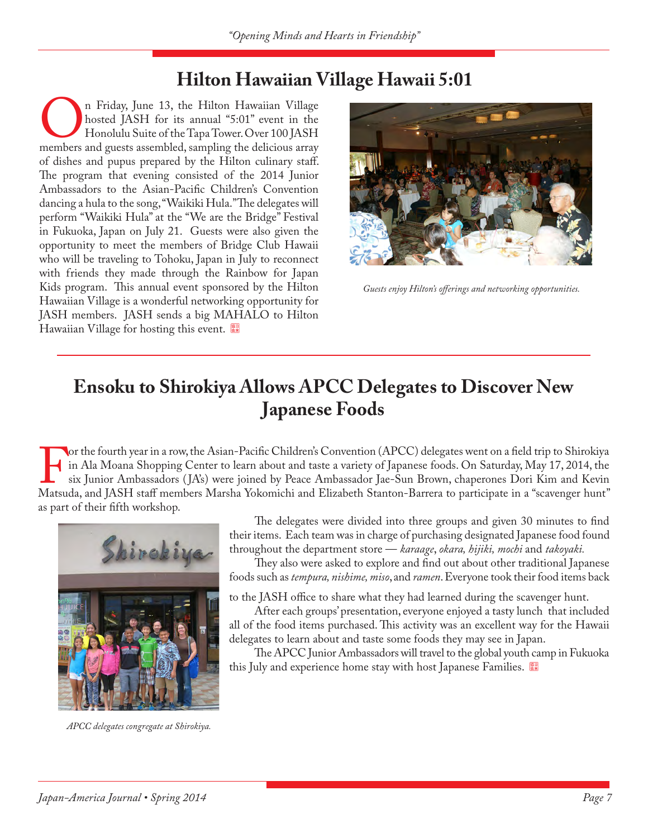### **Hilton Hawaiian Village Hawaii 5:01**

In Friday, June 13, the Hilton Hawaiian Village<br>hosted JASH for its annual "5:01" event in the<br>Honolulu Suite of the Tapa Tower. Over 100 JASH<br>members and guests assembled, sampling the delicious array hosted JASH for its annual "5:01" event in the Honolulu Suite of the Tapa Tower. Over 100 JASH of dishes and pupus prepared by the Hilton culinary staff. The program that evening consisted of the 2014 Junior Ambassadors to the Asian-Pacific Children's Convention dancing a hula to the song, "Waikiki Hula." The delegates will perform "Waikiki Hula" at the "We are the Bridge" Festival in Fukuoka, Japan on July 21. Guests were also given the opportunity to meet the members of Bridge Club Hawaii who will be traveling to Tohoku, Japan in July to reconnect with friends they made through the Rainbow for Japan Kids program. This annual event sponsored by the Hilton Hawaiian Village is a wonderful networking opportunity for JASH members. JASH sends a big MAHALO to Hilton Hawaiian Village for hosting this event.



*Guests enjoy Hilton's offerings and networking opportunities.*

### **Ensoku to Shirokiya Allows APCC Delegates to Discover New Japanese Foods**

or the fourth year in a row, the Asian-Pacific Children's Convention (APCC) delegates went on a field trip to Shirokiya<br>in Ala Moana Shopping Center to learn about and taste a variety of Japanese foods. On Saturday, May 17 in Ala Moana Shopping Center to learn about and taste a variety of Japanese foods. On Saturday, May 17, 2014, the six Junior Ambassadors ( JA's) were joined by Peace Ambassador Jae-Sun Brown, chaperones Dori Kim and Kevin as part of their fifth workshop.



*APCC delegates congregate at Shirokiya.*

The delegates were divided into three groups and given 30 minutes to find their items. Each team was in charge of purchasing designated Japanese food found throughout the department store — *karaage*, *okara, hijiki, mochi* and *takoyaki.* 

They also were asked to explore and find out about other traditional Japanese foods such as *tempura, nishime, miso*, and *ramen*. Everyone took their food items back

to the JASH office to share what they had learned during the scavenger hunt.

After each groups' presentation, everyone enjoyed a tasty lunch that included all of the food items purchased. This activity was an excellent way for the Hawaii delegates to learn about and taste some foods they may see in Japan.

The APCC Junior Ambassadors will travel to the global youth camp in Fukuoka this July and experience home stay with host Japanese Families.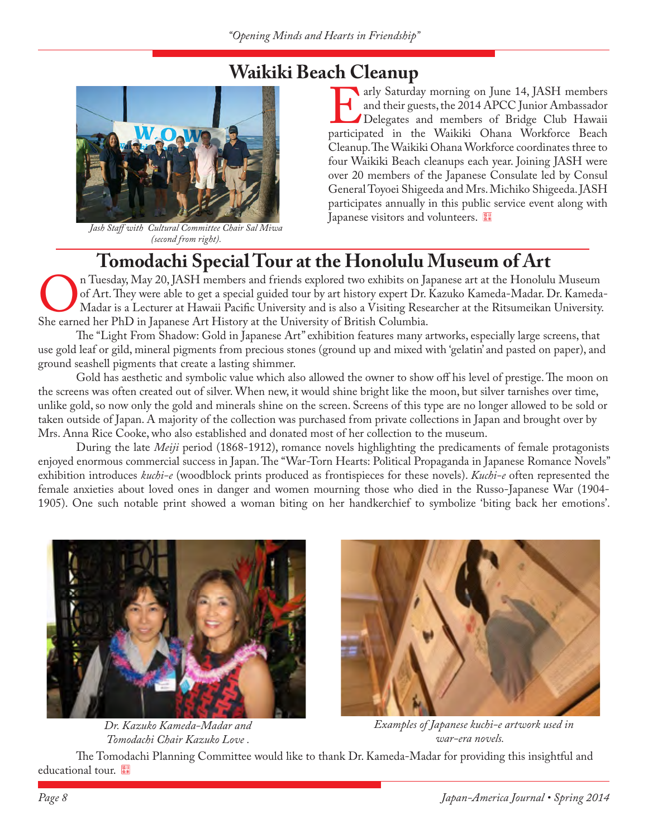

*Jash Staff with Cultural Committee Chair Sal Miwa (second from right).*

arly Saturday morning on June 14, JASH members<br>
and their guests, the 2014 APCC Junior Ambassador<br>
Delegates and members of Bridge Club Hawaii<br>
participated in the Waikiki Ohana Workforce Beach and their guests, the 2014 APCC Junior Ambassador Delegates and members of Bridge Club Hawaii Cleanup. The Waikiki Ohana Workforce coordinates three to four Waikiki Beach cleanups each year. Joining JASH were over 20 members of the Japanese Consulate led by Consul General Toyoei Shigeeda and Mrs. Michiko Shigeeda. JASH participates annually in this public service event along with Japanese visitors and volunteers. **Waikiki Beach Cleanup**<br>**WAIKING AND AIRS AND AIRS AND AIR AND AIR AND AIR AND AIR AND AIR MEDITARY OF THE AIR OF THE AIR OF THE AIR OF** 

# **Tomodachi Special Tour at the Honolulu Museum of Art**<br>n Tuesday, May 20, JASH members and friends explored two exhibits on Japanese art at the Honolulu Museum

On Tuesday, May 20, JASH members and friends explored two exhibits on Japanese art at the Honolulu Museum<br>of Art. They were able to get a special guided tour by art history expert Dr. Kazuko Kameda-Madar. Dr. Kameda<br>She ea of Art. They were able to get a special guided tour by art history expert Dr. Kazuko Kameda-Madar. Dr. Kameda-Madar is a Lecturer at Hawaii Pacific University and is also a Visiting Researcher at the Ritsumeikan University. She earned her PhD in Japanese Art History at the University of British Columbia.

The "Light From Shadow: Gold in Japanese Art" exhibition features many artworks, especially large screens, that use gold leaf or gild, mineral pigments from precious stones (ground up and mixed with 'gelatin' and pasted on paper), and ground seashell pigments that create a lasting shimmer.

Gold has aesthetic and symbolic value which also allowed the owner to show off his level of prestige. The moon on the screens was often created out of silver. When new, it would shine bright like the moon, but silver tarnishes over time, unlike gold, so now only the gold and minerals shine on the screen. Screens of this type are no longer allowed to be sold or taken outside of Japan. A majority of the collection was purchased from private collections in Japan and brought over by Mrs. Anna Rice Cooke, who also established and donated most of her collection to the museum.

During the late *Meiji* period (1868-1912), romance novels highlighting the predicaments of female protagonists enjoyed enormous commercial success in Japan. The "War-Torn Hearts: Political Propaganda in Japanese Romance Novels" exhibition introduces *kuchi-e* (woodblock prints produced as frontispieces for these novels). *Kuchi-e* often represented the female anxieties about loved ones in danger and women mourning those who died in the Russo-Japanese War (1904- 1905). One such notable print showed a woman biting on her handkerchief to symbolize 'biting back her emotions'.



*Dr. Kazuko Kameda-Madar and Tomodachi Chair Kazuko Love .*



 *Examples of Japanese kuchi-e artwork used in war-era novels.*

The Tomodachi Planning Committee would like to thank Dr. Kameda-Madar for providing this insightful and educational tour.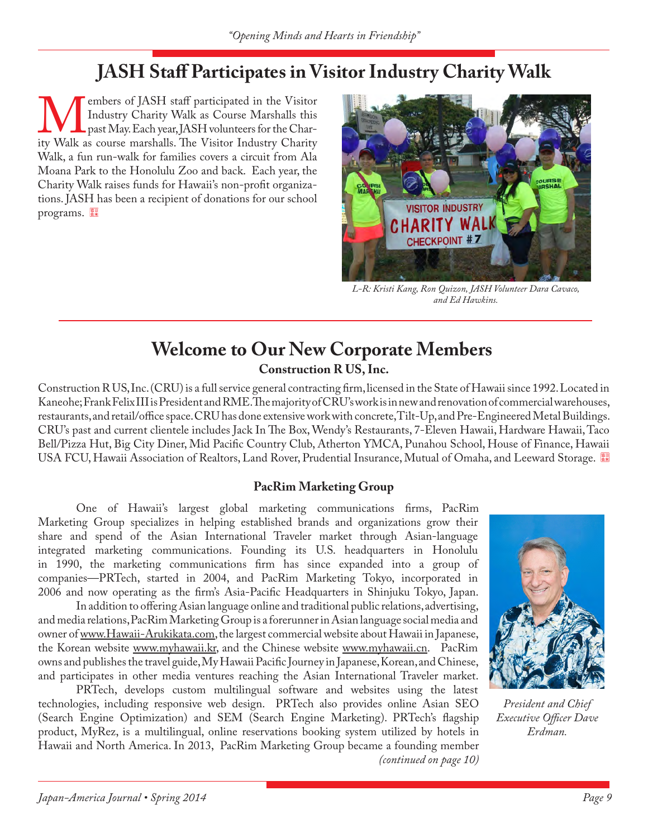### **JASH Staff Participates in Visitor Industry Charity Walk**

Members of JASH staff participated in the Visitor Industry Charity Walk as Course Marshalls this past May. Each year, JASH volunteers for the Charity Walk as course marshalls. The Visitor Industry Charity Industry Charity Walk as Course Marshalls this past May. Each year, JASH volunteers for the Char-Walk, a fun run-walk for families covers a circuit from Ala Moana Park to the Honolulu Zoo and back. Each year, the Charity Walk raises funds for Hawaii's non-profit organizations. JASH has been a recipient of donations for our school programs.



*L-R: Kristi Kang, Ron Quizon, JASH Volunteer Dara Cavaco, and Ed Hawkins.*

### **Construction R US, Inc. Welcome to Our New Corporate Members**

Construction R US, Inc. (CRU) is a full service general contracting firm, licensed in the State of Hawaii since 1992. Located in Kaneohe; Frank Felix III is President and RME. The majority of CRU's work is in new and renovation of commercial warehouses, restaurants, and retail/office space. CRU has done extensive work with concrete, Tilt-Up, and Pre-Engineered Metal Buildings. CRU's past and current clientele includes Jack In The Box, Wendy's Restaurants, 7-Eleven Hawaii, Hardware Hawaii, Taco Bell/Pizza Hut, Big City Diner, Mid Pacific Country Club, Atherton YMCA, Punahou School, House of Finance, Hawaii USA FCU, Hawaii Association of Realtors, Land Rover, Prudential Insurance, Mutual of Omaha, and Leeward Storage.

### **PacRim Marketing Group**

One of Hawaii's largest global marketing communications firms, PacRim Marketing Group specializes in helping established brands and organizations grow their share and spend of the Asian International Traveler market through Asian-language integrated marketing communications. Founding its U.S. headquarters in Honolulu in 1990, the marketing communications firm has since expanded into a group of companies—PRTech, started in 2004, and PacRim Marketing Tokyo, incorporated in 2006 and now operating as the firm's Asia-Pacific Headquarters in Shinjuku Tokyo, Japan.

In addition to offering Asian language online and traditional public relations, advertising, and media relations, PacRim Marketing Group is a forerunner in Asian language social media and owner of www.Hawaii-Arukikata.com, the largest commercial website about Hawaii in Japanese, the Korean website www.myhawaii.kr, and the Chinese website www.myhawaii.cn. PacRim owns and publishes the travel guide, My Hawaii Pacific Journey in Japanese, Korean, and Chinese, and participates in other media ventures reaching the Asian International Traveler market.

PRTech, develops custom multilingual software and websites using the latest technologies, including responsive web design. PRTech also provides online Asian SEO (Search Engine Optimization) and SEM (Search Engine Marketing). PRTech's flagship product, MyRez, is a multilingual, online reservations booking system utilized by hotels in Hawaii and North America. In 2013, PacRim Marketing Group became a founding member *(continued on page 10)*



*President and Chief Executive Officer Dave Erdman.*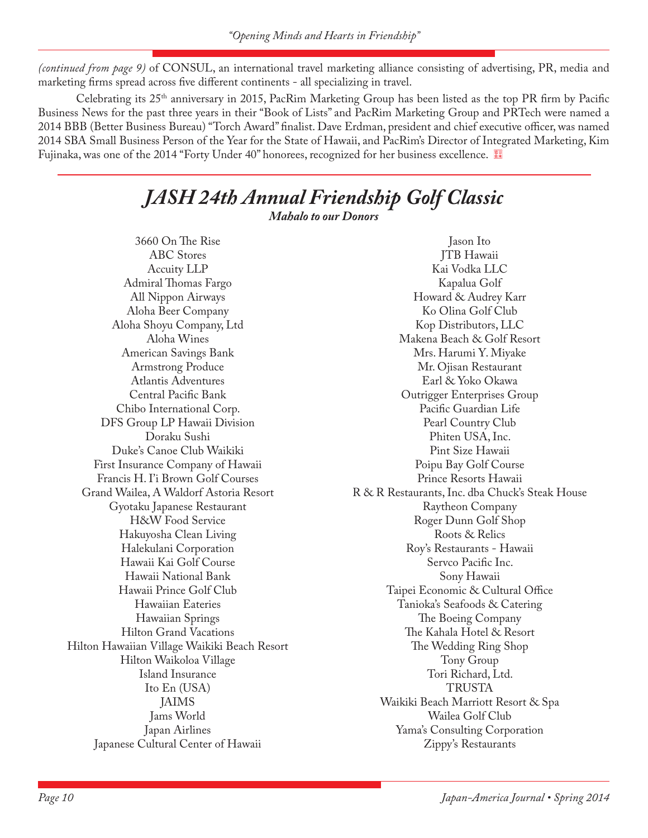*(continued from page 9)* of CONSUL, an international travel marketing alliance consisting of advertising, PR, media and marketing firms spread across five different continents - all specializing in travel.

Celebrating its 25th anniversary in 2015, PacRim Marketing Group has been listed as the top PR firm by Pacific Business News for the past three years in their "Book of Lists" and PacRim Marketing Group and PRTech were named a 2014 BBB (Better Business Bureau) "Torch Award" finalist. Dave Erdman, president and chief executive officer, was named 2014 SBA Small Business Person of the Year for the State of Hawaii, and PacRim's Director of Integrated Marketing, Kim Fujinaka, was one of the 2014 "Forty Under 40" honorees, recognized for her business excellence.

## *JASH 24th Annual Friendship Golf Classic*

*Mahalo to our Donors*

3660 On The Rise ABC Stores Accuity LLP Admiral Thomas Fargo All Nippon Airways Aloha Beer Company Aloha Shoyu Company, Ltd Aloha Wines American Savings Bank Armstrong Produce Atlantis Adventures Central Pacific Bank Chibo International Corp. DFS Group LP Hawaii Division Doraku Sushi Duke's Canoe Club Waikiki First Insurance Company of Hawaii Francis H. I'i Brown Golf Courses Grand Wailea, A Waldorf Astoria Resort Gyotaku Japanese Restaurant H&W Food Service Hakuyosha Clean Living Halekulani Corporation Hawaii Kai Golf Course Hawaii National Bank Hawaii Prince Golf Club Hawaiian Eateries Hawaiian Springs Hilton Grand Vacations Hilton Hawaiian Village Waikiki Beach Resort Hilton Waikoloa Village Island Insurance Ito En (USA) JAIMS Jams World Japan Airlines Japanese Cultural Center of Hawaii

Jason Ito JTB Hawaii Kai Vodka LLC Kapalua Golf Howard & Audrey Karr Ko Olina Golf Club Kop Distributors, LLC Makena Beach & Golf Resort Mrs. Harumi Y. Miyake Mr. Ojisan Restaurant Earl & Yoko Okawa Outrigger Enterprises Group Pacific Guardian Life Pearl Country Club Phiten USA, Inc. Pint Size Hawaii Poipu Bay Golf Course Prince Resorts Hawaii R & R Restaurants, Inc. dba Chuck's Steak House Raytheon Company Roger Dunn Golf Shop Roots & Relics Roy's Restaurants - Hawaii Servco Pacific Inc. Sony Hawaii Taipei Economic & Cultural Office Tanioka's Seafoods & Catering The Boeing Company The Kahala Hotel & Resort The Wedding Ring Shop Tony Group Tori Richard, Ltd. TRUSTA Waikiki Beach Marriott Resort & Spa Wailea Golf Club Yama's Consulting Corporation Zippy's Restaurants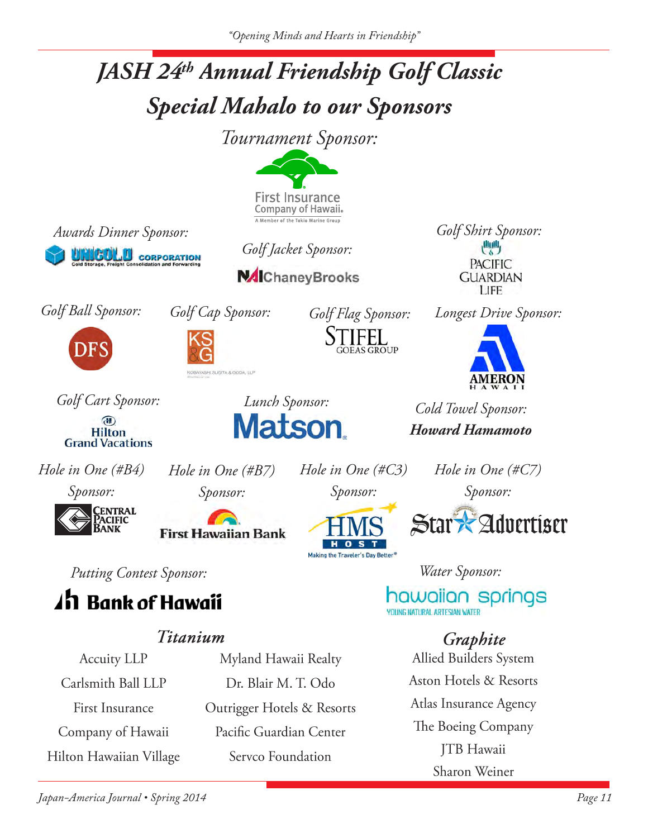

Accuity LLP Carlsmith Ball LLP **First Insurance** Company of Hawaii Hilton Hawaiian Village

Myland Hawaii Realty Dr. Blair M. T. Odo Outrigger Hotels & Resorts Pacific Guardian Center Servco Foundation

**Allied Builders System** Aston Hotels & Resorts Atlas Insurance Agency The Boeing Company JTB Hawaii Sharon Weiner